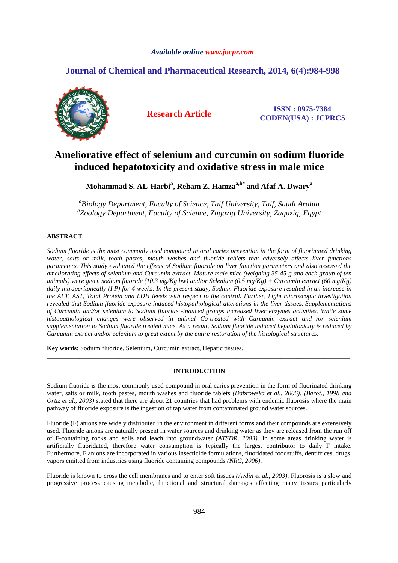# *Available online www.jocpr.com*

# **Journal of Chemical and Pharmaceutical Research, 2014, 6(4):984-998**



**Research Article ISSN : 0975-7384 CODEN(USA) : JCPRC5**

# **Ameliorative effect of selenium and curcumin on sodium fluoride induced hepatotoxicity and oxidative stress in male mice**

**Mohammad S. AL-Harbi<sup>a</sup> , Reham Z. Hamzaa,b\* and Afaf A. Dwary<sup>a</sup>**

*a Biology Department, Faculty of Science, Taif University, Taif, Saudi Arabia b Zoology Department, Faculty of Science, Zagazig University, Zagazig, Egypt*  \_\_\_\_\_\_\_\_\_\_\_\_\_\_\_\_\_\_\_\_\_\_\_\_\_\_\_\_\_\_\_\_\_\_\_\_\_\_\_\_\_\_\_\_\_\_\_\_\_\_\_\_\_\_\_\_\_\_\_\_\_\_\_\_\_\_\_\_\_\_\_\_\_\_\_\_\_\_\_\_\_\_\_\_\_\_\_\_\_\_\_\_\_

# **ABSTRACT**

*Sodium fluoride is the most commonly used compound in oral caries prevention in the form of fluorinated drinking water, salts or milk, tooth pastes, mouth washes and fluoride tablets that adversely affects liver functions parameters. This study evaluated the effects of Sodium fluoride on liver function parameters and also assessed the ameliorating effects of selenium and Curcumin extract. Mature male mice (weighing 35-45 g and each group of ten animals) were given sodium fluoride (10.3 mg/Kg bw) and/or Selenium (0.5 mg/Kg) + Curcumin extract (60 mg/Kg) daily intraperitoneally (I.P) for 4 weeks. In the present study, Sodium Fluoride exposure resulted in an increase in the ALT, AST, Total Protein and LDH levels with respect to the control. Further, Light microscopic investigation revealed that Sodium fluoride exposure induced histopathological alterations in the liver tissues. Supplementations of Curcumin and/or selenium to Sodium fluoride -induced groups increased liver enzymes activities. While some histopathological changes were observed in animal Co-treated with Curcumin extract and /or selenium supplementation to Sodium fluoride treated mice. As a result, Sodium fluoride induced hepatotoxicity is reduced by Curcumin extract and/or selenium to great extent by the entire restoration of the histological structures.* 

**Key words**: Sodium fluoride, Selenium, Curcumin extract, Hepatic tissues.

# **INTRODUCTION**

\_\_\_\_\_\_\_\_\_\_\_\_\_\_\_\_\_\_\_\_\_\_\_\_\_\_\_\_\_\_\_\_\_\_\_\_\_\_\_\_\_\_\_\_\_\_\_\_\_\_\_\_\_\_\_\_\_\_\_\_\_\_\_\_\_\_\_\_\_\_\_\_\_\_\_\_\_\_\_\_\_\_\_\_\_\_\_\_\_\_\_\_\_

Sodium fluoride is the most commonly used compound in oral caries prevention in the form of fluorinated drinking water, salts or milk, tooth pastes, mouth washes and fluoride tablets *(Dabrowska et al., 2006)*. *(Barot., 1998 and Ortiz et al., 2003*) stated that there are about 21 countries that had problems with endemic fluorosis where the main pathway of fluoride exposure is the ingestion of tap water from contaminated ground water sources.

Fluoride (F) anions are widely distributed in the environment in different forms and their compounds are extensively used. Fluoride anions are naturally present in water sources and drinking water as they are released from the run off of F-containing rocks and soils and leach into groundwater *(ATSDR, 2003)*. In some areas drinking water is artificially fluoridated, therefore water consumption is typically the largest contributor to daily F intake. Furthermore, F anions are incorporated in various insecticide formulations, fluoridated foodstuffs, dentifrices, drugs, vapors emitted from industries using fluoride containing compounds *(NRC, 2006)*.

Fluoride is known to cross the cell membranes and to enter soft tissues *(Aydin et al., 2003)*. Fluorosis is a slow and progressive process causing metabolic, functional and structural damages affecting many tissues particularly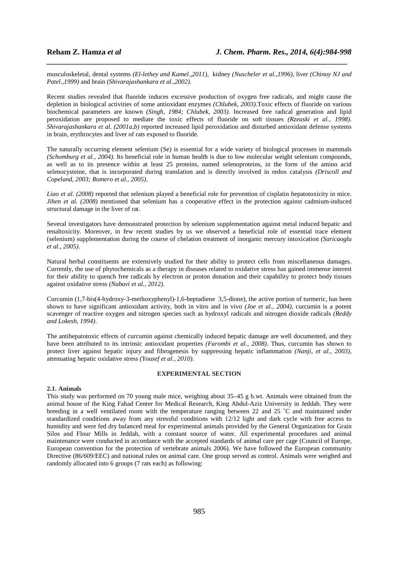musculoskeletal, dental systems *(El-lethey and Kamel.,2011)*, kidney *(Nuscheler et al.,1996)*, liver *(Chinoy NJ and Patel.,1999)* and brain *(Shivarajashankara et al.,2002)*.

*\_\_\_\_\_\_\_\_\_\_\_\_\_\_\_\_\_\_\_\_\_\_\_\_\_\_\_\_\_\_\_\_\_\_\_\_\_\_\_\_\_\_\_\_\_\_\_\_\_\_\_\_\_\_\_\_\_\_\_\_\_\_\_\_\_\_\_\_\_\_\_\_\_\_\_\_\_*

Recent studies revealed that fluoride induces excessive production of oxygen free radicals, and might cause the depletion in biological activities of some antioxidant enzymes *(Chlubek, 2003)*.Toxic effects of fluoride on various biochemical parameters are known *(Singh, 1984; Chlubek, 2003)*. Increased free radical generation and lipid peroxidation are proposed to mediate the toxic effects of fluoride on soft tissues *(Rzeuski et al., 1998)*. *Shivarajashankara et al. (2001a,b)* reported increased lipid peroxidation and disturbed antioxidant defense systems in brain, erythrocytes and liver of rats exposed to fluoride.

The naturally occurring element selenium (Se) is essential for a wide variety of biological processes in mammals *(Schomburg et al., 2004)*. Its beneficial role in human health is due to low molecular weight selenium compounds, as well as to its presence within at least 25 proteins, named selenoproteins, in the form of the amino acid selenocysteine, that is incorporated during translation and is directly involved in redox catalysis *(Driscoll and Copeland, 2003; Romero et al., 2005)*.

*Liao et al. (2008)* reported that selenium played a beneficial role for prevention of cisplatin hepatotoxicity in mice. *Jihen et al. (2008)* mentioned that selenium has a cooperative effect in the protection against cadmium-induced structural damage in the liver of rat.

Several investigators have demonstrated protection by selenium supplementation against metal induced hepatic and renaltoxicity. Moreover, in few recent studies by us we observed a beneficial role of essential trace element (selenium) supplementation during the course of chelation treatment of inorganic mercury intoxication *(Saricaoglu et al., 2005)*.

Natural herbal constituents are extensively studied for their ability to protect cells from miscellaneous damages. Currently, the use of phytochemicals as a therapy in diseases related to oxidative stress has gained immense interest for their ability to quench free radicals by electron or proton donation and their capability to protect body tissues against oxidative stress *(Nabavi et al., 2012)*.

Curcumin (1,7-bis(4-hydroxy-3-methoxyphenyl)-1,6-heptadiene 3,5-dione), the active portion of turmeric, has been shown to have significant antioxidant activity, both in vitro and in vivo *(Joe et al., 2004)*, curcumin is a potent scavenger of reactive oxygen and nitrogen species such as hydroxyl radicals and nitrogen dioxide radicals *(Reddy and Lokesh, 1994)*.

The antihepatotoxic effects of curcumin against chemically induced hepatic damage are well documented, and they have been attributed to its intrinsic antioxidant properties *(Farombi et al., 2008)*. Thus, curcumin has shown to protect liver against hepatic injury and fibrogenesis by suppressing hepatic inflammation *(Nanji, et al., 2003)*, attenuating hepatic oxidative stress *(Yousef et al., 2010)*.

# **EXPERIMENTAL SECTION**

### **2.1. Animals**

This study was performed on 70 young male mice, weighing about 35–45 g b.wt. Animals were obtained from the animal house of the King Fahad Center for Medical Research, King Abdul-Aziz University in Jeddah. They were breeding in a well ventilated room with the temperature ranging between 22 and 25 ˚C and maintained under standardized conditions away from any stressful conditions with 12/12 light and dark cycle with free access to humidity and were fed dry balanced meal for experimental animals provided by the General Organization for Grain Silos and Flour Mills in Jeddah, with a constant source of water. All experimental procedures and animal maintenance were conducted in accordance with the accepted standards of animal care per cage (Council of Europe, European convention for the protection of vertebrate animals 2006). We have followed the European community Directive (86/609/EEC) and national rules on animal care. One group served as control. Animals were weighed and randomly allocated into 6 groups (7 rats each) as following: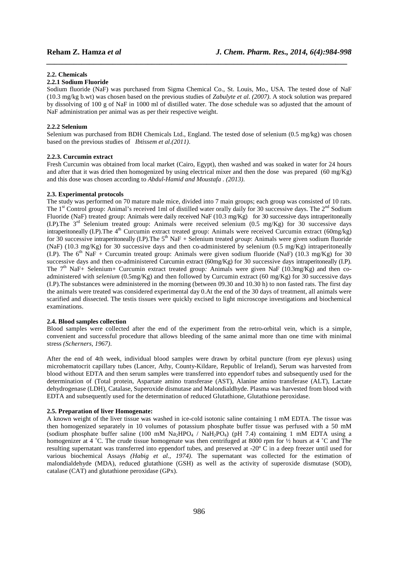### **2.2. Chemicals**

## **2.2.1 Sodium Fluoride**

Sodium fluoride (NaF) was purchased from Sigma Chemical Co., St. Louis, Mo., USA. The tested dose of NaF (10.3 mg/kg b.wt) was chosen based on the previous studies of *Zabulyte et al. (2007)*. A stock solution was prepared by dissolving of 100 g of NaF in 1000 ml of distilled water. The dose schedule was so adjusted that the amount of NaF administration per animal was as per their respective weight.

*\_\_\_\_\_\_\_\_\_\_\_\_\_\_\_\_\_\_\_\_\_\_\_\_\_\_\_\_\_\_\_\_\_\_\_\_\_\_\_\_\_\_\_\_\_\_\_\_\_\_\_\_\_\_\_\_\_\_\_\_\_\_\_\_\_\_\_\_\_\_\_\_\_\_\_\_\_*

### **2.2.2 Selenium**

Selenium was purchased from BDH Chemicals Ltd., England. The tested dose of selenium (0.5 mg/kg) was chosen based on the previous studies of *Ibtissem et al.(2011)*.

### **2.2.3. Curcumin extract**

Fresh Curcumin was obtained from local market (Cairo, Egypt), then washed and was soaked in water for 24 hours and after that it was dried then homogenized by using electrical mixer and then the dose was prepared (60 mg/Kg) and this dose was chosen according to *Abdul-Hamid and Moustafa . (2013)*.

### **2.3. Experimental protocols**

The study was performed on 70 mature male mice, divided into 7 main groups; each group was consisted of 10 rats. The 1<sup>st</sup> Control group: Animal's received 1ml of distilled water orally daily for 30 successive days. The 2<sup>nd</sup> Sodium Fluoride (NaF) treated group: Animals were daily received NaF (10.3 mg/Kg) for 30 successive days intraperitoneally (I.P).The 3rd Selenium treated group: Animals were received selenium (0.5 mg/Kg) for 30 successive days intraperitoneally (I.P).The 4<sup>th</sup> Curcumin extract treated group: Animals were received Curcumin extract (60mg/kg) for 30 successive intraperitoneally (I.P). The 5<sup>th</sup> NaF + Selenium treated *group*: Animals were given sodium fluoride (NaF) (10.3 mg/Kg) for 30 successive days and then co-administered by selenium (0.5 mg/Kg) intraperitoneally (I.P). The  $6<sup>th</sup>$  NaF + Curcumin treated group: Animals were given sodium fluoride (NaF) (10.3 mg/Kg) for 30 successive days and then co-administered Curcumin extract (60mg/Kg) for 30 successive days intraperitoneally (I.P). The 7<sup>th</sup> NaF+ Selenium+ Curcumin extract treated group: Animals were given NaF (10.3mg/Kg) and then coadministered with *selenium* (0.5mg/Kg) and then followed by Curcumin extract (60 mg/Kg) for 30 successive days (I.P).The substances were administered in the morning (between 09.30 and 10.30 h) to non fasted rats. The first day the animals were treated was considered experimental day 0.At the end of the 30 days of treatment, all animals were scarified and dissected. The testis tissues were quickly excised to light microscope investigations and biochemical examinations.

## **2.4. Blood samples collection**

Blood samples were collected after the end of the experiment from the retro-orbital vein, which is a simple, convenient and successful procedure that allows bleeding of the same animal more than one time with minimal stress *(Scherners, 1967)*.

After the end of 4th week, individual blood samples were drawn by orbital puncture (from eye plexus) using microhematocrit capillary tubes (Lancer, Athy, County-Kildare, Republic of Ireland), Serum was harvested from blood without EDTA and then serum samples were transferred into eppendorf tubes and subsequently used for the determination of (Total protein, Aspartate amino transferase (AST), Alanine amino transferase (ALT), Lactate dehydrogenase (LDH), Catalase, Superoxide dismutase and Malondialdhyde. Plasma was harvested from blood with EDTA and subsequently used for the determination of reduced Glutathione, Glutathione peroxidase.

# **2.5. Preparation of liver Homogenate:**

A known weight of the liver tissue was washed in ice-cold isotonic saline containing 1 mM EDTA. The tissue was then homogenized separately in 10 volumes of potassium phosphate buffer tissue was perfused with a 50 mM (sodium phosphate buffer saline (100 mM Na<sub>2</sub>HPO<sub>4</sub> / NaH<sub>2</sub>PO<sub>4</sub>) (pH 7.4) containing 1 mM EDTA using a homogenizer at 4 °C. The crude tissue homogenate was then centrifuged at 8000 rpm for  $\frac{1}{2}$  hours at 4 °C and The resulting supernatant was transferred into eppendorf tubes, and preserved at -20º C in a deep freezer until used for various biochemical Assays *(Habig et al., 1974)*. The supernatant was collected for the estimation of malondialdehyde (MDA), reduced glutathione (GSH) as well as the activity of superoxide dismutase (SOD), catalase (CAT) and glutathione peroxidase (GPx).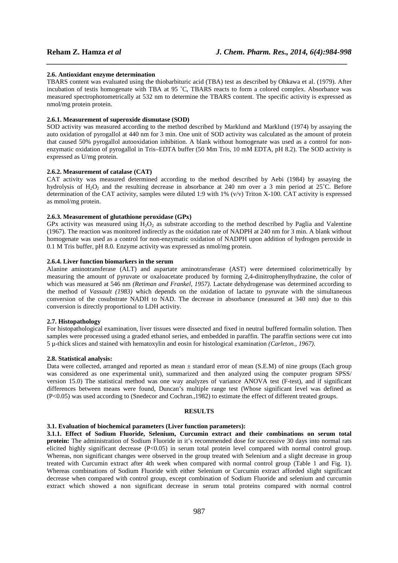### **2.6. Antioxidant enzyme determination**

TBARS content was evaluated using the thiobarbituric acid (TBA) test as described by Ohkawa et al. (1979). After incubation of testis homogenate with TBA at 95 ˚C, TBARS reacts to form a colored complex. Absorbance was measured spectrophotometrically at 532 nm to determine the TBARS content. The specific activity is expressed as nmol/mg protein protein.

*\_\_\_\_\_\_\_\_\_\_\_\_\_\_\_\_\_\_\_\_\_\_\_\_\_\_\_\_\_\_\_\_\_\_\_\_\_\_\_\_\_\_\_\_\_\_\_\_\_\_\_\_\_\_\_\_\_\_\_\_\_\_\_\_\_\_\_\_\_\_\_\_\_\_\_\_\_*

### **2.6.1. Measurement of superoxide dismutase (SOD)**

SOD activity was measured according to the method described by Marklund and Marklund (1974) by assaying the auto oxidation of pyrogallol at 440 nm for 3 min. One unit of SOD activity was calculated as the amount of protein that caused 50% pyrogallol autooxidation inhibition. A blank without homogenate was used as a control for nonenzymatic oxidation of pyrogallol in Tris–EDTA buffer (50 Mm Tris, 10 mM EDTA, pH 8.2). The SOD activity is expressed as U/mg protein.

# **2.6.2. Measurement of catalase (CAT)**

CAT activity was measured determined according to the method described by Aebi (1984) by assaying the hydrolysis of  $H_2O_2$  and the resulting decrease in absorbance at 240 nm over a 3 min period at 25°C. Before determination of the CAT activity, samples were diluted 1:9 with 1% ( $v/v$ ) Triton X-100. CAT activity is expressed as mmol/mg protein.

# **2.6.3. Measurement of glutathione peroxidase (GPx)**

GPx activity was measured using  $\overline{H}_2O_2$  as substrate according to the method described by Paglia and Valentine (1967). The reaction was monitored indirectly as the oxidation rate of NADPH at 240 nm for 3 min. A blank without homogenate was used as a control for non-enzymatic oxidation of NADPH upon addition of hydrogen peroxide in 0.1 M Tris buffer, pH 8.0. Enzyme activity was expressed as nmol/mg protein.

# **2.6.4. Liver function biomarkers in the serum**

Alanine aminotransferase (ALT) and aspartate aminotransferase (AST) were determined colorimetrically by measuring the amount of pyruvate or oxaloacetate produced by forming 2,4-dinitrophenylhydrazine, the color of which was measured at 546 nm *(Retiman and Frankel, 1957)*. Lactate dehydrogenase was determined according to the method of *Vassault (1983)* which depends on the oxidation of lactate to pyruvate with the simultaneous conversion of the cosubstrate NADH to NAD. The decrease in absorbance (measured at 340 nm) due to this conversion is directly proportional to LDH activity.

# **2.7. Histopathology**

For histopathological examination, liver tissues were dissected and fixed in neutral buffered formalin solution. Then samples were processed using a graded ethanol series, and embedded in paraffin. The paraffin sections were cut into 5 µ-thick slices and stained with hematoxylin and eosin for histological examination *(Carleton., 1967)*.

### **2.8. Statistical analysis:**

Data were collected, arranged and reported as mean ± standard error of mean (S.E.M) of nine groups (Each group was considered as one experimental unit), summarized and then analyzed using the computer program SPSS/ version 15.0) The statistical method was one way analyzes of variance ANOVA test (F-test), and if significant differences between means were found, Duncan's multiple range test (Whose significant level was defined as (P<0.05) was used according to (Snedecor and Cochran.,1982) to estimate the effect of different treated groups.

### **RESULTS**

### **3.1. Evaluation of biochemical parameters (Liver function parameters):**

**3.1.1. Effect of Sodium Fluoride, Selenium, Curcumin extract and their combinations on serum total protein:** The administration of Sodium Fluoride in it's recommended dose for successive 30 days into normal rats elicited highly significant decrease (P<0.05) in serum total protein level compared with normal control group. Whereas, non significant changes were observed in the group treated with Selenium and a slight decrease in group treated with Curcumin extract after 4th week when compared with normal control group (Table 1 and Fig. 1). Whereas combinations of Sodium Fluoride with either Selenium or Curcumin extract afforded slight significant decrease when compared with control group, except combination of Sodium Fluoride and selenium and curcumin extract which showed a non significant decrease in serum total proteins compared with normal control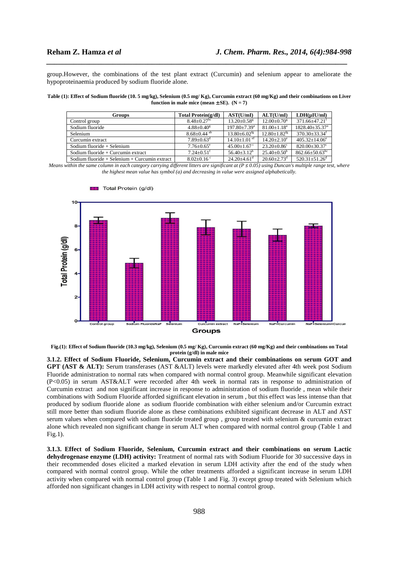group.However, the combinations of the test plant extract (Curcumin) and selenium appear to ameliorate the hypoproteinaemia produced by sodium fluoride alone.

*\_\_\_\_\_\_\_\_\_\_\_\_\_\_\_\_\_\_\_\_\_\_\_\_\_\_\_\_\_\_\_\_\_\_\_\_\_\_\_\_\_\_\_\_\_\_\_\_\_\_\_\_\_\_\_\_\_\_\_\_\_\_\_\_\_\_\_\_\_\_\_\_\_\_\_\_\_*

**Table (1): Effect of Sodium fluoride (10. 5 mg/kg), Selenium (0.5 mg/ Kg), Curcumin extract (60 mg/Kg) and their combinations on Liver function in male mice (mean**  $\pm$  **SE).** (N = 7)

| <b>Groups</b>                                 | Total Protein(g/dl)           | AST(U/mI)                    | ALT(U/mI)                     | $LDH(\mu I U/ml)$                |
|-----------------------------------------------|-------------------------------|------------------------------|-------------------------------|----------------------------------|
| Control group                                 | $8.48 + 0.27$ <sup>bc</sup>   | $13.20 + 0.58$ <sup>g</sup>  | $12.00+0.70^8$                | $371.66 + 47.21$ <sup>f</sup>    |
| Sodium fluoride                               | $4.88 + 0.40$ <sup>g</sup>    | $197.80 + 7.39$ <sup>a</sup> | $81.00 + 1.18$ <sup>a</sup>   | $1828.40 + 35.37a$               |
| Selenium                                      | $8.68 \pm 0.44$ <sup>ab</sup> | $13.80 + 6.02$ <sup>tg</sup> | $12.80 + 1.82$ <sup>fg</sup>  | $370.30 + 33.34$ <sup>f</sup>    |
| Curcumin extract                              | $7.89 + 0.63^d$               | $14.10 \pm 1.01$ ef          | $14.20 + 2.10^e$              | $405.32 + 14.06^e$               |
| Sodium fluoride $+$ Selenium                  | $7.76 \pm 0.65$ <sup>e</sup>  | $45.00+1.67^{\circ}$         | $23.20 \pm 0.86$ <sup>c</sup> | $820.00 \pm 30.37$ °             |
| Sodium fluoride + Curcumin extract            | $7.24 + 0.51$ <sup>f</sup>    | $56.40 + 3.12^b$             | $25.40+0.50^b$                | $862.66 \pm 50.63$ <sup>bc</sup> |
| Sodium fluoride + Selenium + Curcumin extract | $8.02+0.16^{\circ}$           | $24.20 + 4.61$ <sup>d</sup>  | $20.60 + 2.73$ <sup>d</sup>   | $520.31 \pm 51.26$ <sup>d</sup>  |

*Means within the same column in each category carrying different litters are significant at*  $(P \le 0.05)$  *using Duncan's multiple range test, where the highest mean value has symbol (a) and decreasing in value were assigned alphabetically.* 



**Fig.(1): Effect of Sodium fluoride (10.3 mg/kg), Selenium (0.5 mg/ Kg), Curcumin extract (60 mg/Kg) and their combinations on Total protein (g/dl) in male mice** 

**3.1.2. Effect of Sodium Fluoride, Selenium, Curcumin extract and their combinations on serum GOT and GPT (AST & ALT):** Serum transferases (AST &ALT) levels were markedly elevated after 4th week post Sodium Fluoride administration to normal rats when compared with normal control group. Meanwhile significant elevation (P<0.05) in serum AST&ALT were recorded after 4th week in normal rats in response to administration of Curcumin extract and non significant increase in response to administration of sodium fluoride , mean while their combinations with Sodium Fluoride afforded significant elevation in serum , but this effect was less intense than that produced by sodium fluoride alone as sodium fluoride combination with either selenium and/or Curcumin extract still more better than sodium fluoride alone as these combinations exhibited significant decrease in ALT and AST serum values when compared with sodium fluoride treated group , group treated with selenium & curcumin extract alone which revealed non significant change in serum ALT when compared with normal control group (Table 1 and Fig.1).

**3.1.3. Effect of Sodium Fluoride, Selenium, Curcumin extract and their combinations on serum Lactic dehydrogenase enzyme (LDH) activity:** Treatment of normal rats with Sodium Fluoride for 30 successive days in their recommended doses elicited a marked elevation in serum LDH activity after the end of the study when compared with normal control group. While the other treatments afforded a significant increase in serum LDH activity when compared with normal control group (Table 1 and Fig. 3) except group treated with Selenium which afforded non significant changes in LDH activity with respect to normal control group.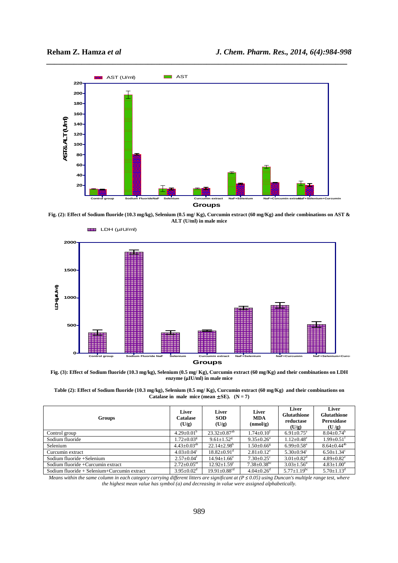



**Fig. (2): Effect of Sodium fluoride (10.3 mg/kg), Selenium (0.5 mg/ Kg), Curcumin extract (60 mg/Kg) and their combinations on AST & ALT (U/ml) in male mice** 



**Groups**

**Fig. (3): Effect of Sodium fluoride (10.3 mg/kg), Selenium (0.5 mg/ Kg), Curcumin extract (60 mg/Kg) and their combinations on LDH enzyme (μIU/ml) in male mice** 



| <b>Groups</b>                               | Liver<br>Catalase<br>(U/g)    | Liver<br><b>SOD</b><br>(U/g)   | Liver<br><b>MDA</b><br>(mmol/g) | Liver<br><b>Glutathione</b><br>reductase<br>(U/g) | Liver<br><b>Glutathione</b><br>Peroxidase<br>(U/g) |
|---------------------------------------------|-------------------------------|--------------------------------|---------------------------------|---------------------------------------------------|----------------------------------------------------|
| Control group                               | $4.29 \pm 0.01^b$             | $23.32 \pm 0.87$ <sup>ab</sup> | $1.74 \pm 0.10^t$               | $6.91 \pm 0.75$ <sup>a</sup>                      | $8.04 \pm 0.74^b$                                  |
| Sodium fluoride                             | $1.72 \pm 0.03$ <sup>g</sup>  | $9.61 \pm 1.52$ <sup>g</sup>   | $9.35 \pm 0.26^a$               | $1.12 \pm 0.48^e$                                 | $1.99 \pm 0.51$ <sup>1</sup>                       |
| Selenium                                    | $4.43 \pm 0.03^{ab}$          | $22.14 \pm 2.98$ <sup>b</sup>  | $1.50 \pm 0.66$ <sup>g</sup>    | $6.99 \pm 0.58$ <sup>a</sup>                      | $8.64 \pm 0.44$ <sup>ab</sup>                      |
| Curcumin extract                            | $4.03 \pm 0.04$ <sup>c</sup>  | $18.82 + 0.91$ <sup>d</sup>    | $2.81 \pm 0.12^e$               | $5.30+0.94^{\circ}$                               | $6.50+1.34^{\circ}$                                |
| Sodium fluoride +Selenium                   | $2.57+0.04^t$                 | $14.94 \pm 1.66^e$             | $7.30 \pm 0.25$ <sup>c</sup>    | $3.01 \pm 0.82$ <sup>d</sup>                      | $4.89 \pm 0.82$ <sup>e</sup>                       |
| Sodium fluoride +Curcumin extract           | $2.72 \pm 0.05$ <sup>ef</sup> | $12.92 + 1.59$ <sup>t</sup>    | $7.38 \pm 0.38$ <sup>bc</sup>   | $3.03 \pm 1.56$ <sup>d</sup>                      | $4.83 \pm 1.00^e$                                  |
| Sodium fluoride + Selenium+Curcumin extract | $3.95 \pm 0.02^d$             | $19.91 \pm 0.88$ <sup>cd</sup> | $4.04 \pm 0.26$ <sup>d</sup>    | $5.77 \pm 1.19$ <sup>bc</sup>                     | $5.70 \pm 1.13$ <sup>d</sup>                       |

*Means within the same column in each category carrying different litters are significant at (P ≤ 0.05) using Duncan's multiple range test, where the highest mean value has symbol (a) and decreasing in value were assigned alphabetically.*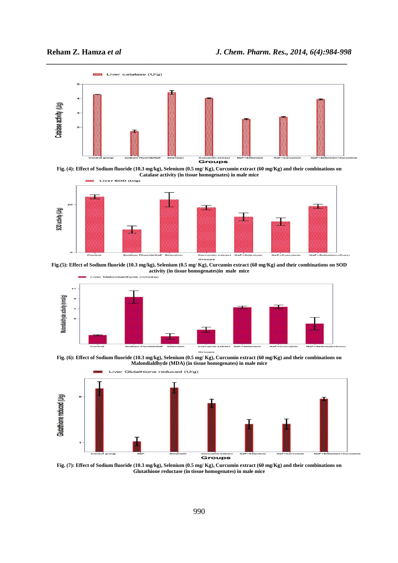





**Fig.(5): Effect of Sodium fluoride (10.3 mg/kg), Selenium (0.5 mg/ Kg), Curcumin extract (60 mg/Kg) and their combinations on SOD** 



**Fig. (6): Effect of Sodium fluoride (10.3 mg/kg), Selenium (0.5 mg/ Kg), Curcumin extract (60 mg/Kg) and their combinations on Malondialdhyde (MDA) (in tissue homogenates) in male mice** 



**Fig. (7): Effect of Sodium fluoride (10.3 mg/kg), Selenium (0.5 mg/ Kg), Curcumin extract (60 mg/Kg) and their combinations on Glutathione reductase (in tissue homogenates) in male mice**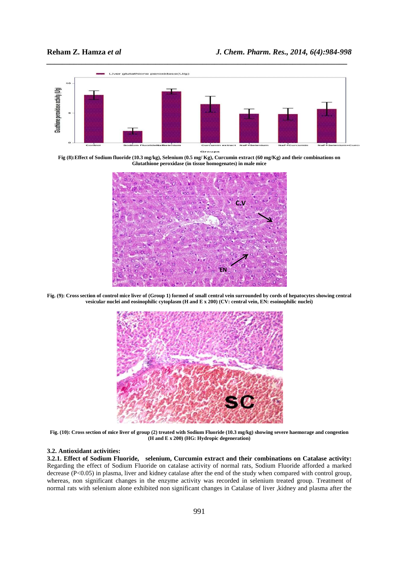

**Fig (8):Effect of Sodium fluoride (10.3 mg/kg), Selenium (0.5 mg/ Kg), Curcumin extract (60 mg/Kg) and their combinations on Glutathione peroxidase (in tissue homogenates) in male mice** 



**Fig. (9): Cross section of control mice liver of (Group 1) formed of small central vein surrounded by cords of hepatocytes showing central vesicular nuclei and eosinophilic cytoplasm (H and E x 200) (CV: central vein, EN: esoinophilic nuclei)** 



**Fig. (10): Cross section of mice liver of group (2) treated with Sodium Fluoride (10.3 mg/kg) showing severe haemorage and congestion (H and E x 200) (HG: Hydropic degeneration)** 

# **3.2. Antioxidant activities:**

**3.2.1. Effect of Sodium Fluoride, selenium, Curcumin extract and their combinations on Catalase activity:** Regarding the effect of Sodium Fluoride on catalase activity of normal rats, Sodium Fluoride afforded a marked decrease (P<0.05) in plasma, liver and kidney catalase after the end of the study when compared with control group, whereas, non significant changes in the enzyme activity was recorded in selenium treated group. Treatment of normal rats with selenium alone exhibited non significant changes in Catalase of liver ,kidney and plasma after the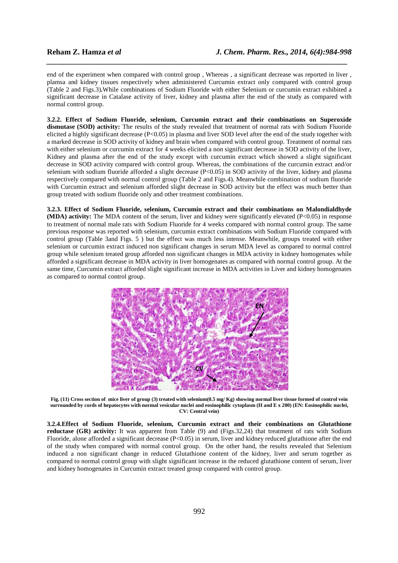end of the experiment when compared with control group , Whereas , a significant decrease was reported in liver , plamsa and kidney tissues respectively when administered Curcumin extract only compared with control group (Table 2 and Figs.3)**.**While combinations of Sodium Fluoride with either Selenium or curcumin extract exhibited a significant decrease in Catalase activity of liver, kidney and plasma after the end of the study as compared with normal control group.

*\_\_\_\_\_\_\_\_\_\_\_\_\_\_\_\_\_\_\_\_\_\_\_\_\_\_\_\_\_\_\_\_\_\_\_\_\_\_\_\_\_\_\_\_\_\_\_\_\_\_\_\_\_\_\_\_\_\_\_\_\_\_\_\_\_\_\_\_\_\_\_\_\_\_\_\_\_*

**3.2.2. Effect of Sodium Fluoride, selenium, Curcumin extract and their combinations on Superoxide dismutase (SOD) activity:** The results of the study revealed that treatment of normal rats with Sodium Fluoride elicited a highly significant decrease (P<0.05) in plasma and liver SOD level after the end of the study together with a marked decrease in SOD activity of kidney and brain when compared with control group. Treatment of normal rats with either selenium or curcumin extract for 4 weeks elicited a non significant decrease in SOD activity of the liver, Kidney and plasma after the end of the study except with curcumin extract which showed a slight significant decrease in SOD activity compared with control group. Whereas, the combinations of the curcumin extract and/or selenium with sodium fluoride afforded a slight decrease (P<0.05) in SOD activity of the liver, kidney and plasma respectively compared with normal control group (Table 2 and Figs.4). Meanwhile combination of sodium fluoride with Curcumin extract and selenium afforded slight decrease in SOD activity but the effect was much better than group treated with sodium fluoride only and other treatment combinations.

**3.2.3. Effect of Sodium Fluoride, selenium, Curcumin extract and their combinations on Malondialdhyde (MDA) activity:** The MDA content of the serum, liver and kidney were significantly elevated (P<0.05) in response to treatment of normal male rats with Sodium Fluoride for 4 weeks compared with normal control group. The same previous response was reported with selenium, curcumin extract combinations with Sodium Fluoride compared with control group (Table 3and Figs. 5 ) but the effect was much less intense. Meanwhile, groups treated with either selenium or curcumin extract induced non significant changes in serum MDA level as compared to normal control group while selenium treated group afforded non significant changes in MDA activity in kidney homogenates while afforded a significant decrease in MDA activity in liver homogenates as compared with normal control group. At the same time, Curcumin extract afforded slight significant increase in MDA activities in Liver and kidney homogenates as compared to normal control group.



**Fig. (11) Cross section of mice liver of group (3) treated with selenium(0.5 mg/ Kg) showing normal liver tissue formed of control vein surrounded by cords of hepatocytes with normal vesicular nuclei and eosinophilic cytoplasm (H and E x 200) (EN: Eosinophilic nuclei, CV: Central vein)** 

**3.2.4.Effect of Sodium Fluoride, selenium, Curcumin extract and their combinations on Glutathione reductase (GR) activity:** It was apparent from Table (9) and (Figs.32,24) that treatment of rats with Sodium Fluoride, alone afforded a significant decrease  $(P< 0.05)$  in serum, liver and kidney reduced glutathione after the end of the study when compared with normal control group. On the other hand, the results revealed that Selenium induced a non significant change in reduced Glutathione content of the kidney, liver and serum together as compared to normal control group with slight significant increase in the reduced glutathione content of serum, liver and kidney homogenates in Curcumin extract treated group compared with control group.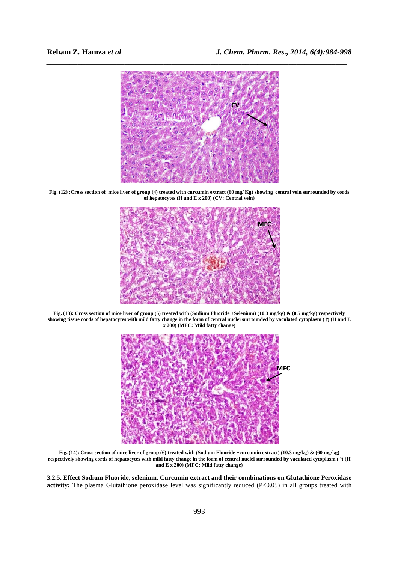

**Fig. (12) :Cross section of mice liver of group (4) treated with curcumin extract (60 mg/ Kg) showing central vein surrounded by cords of hepatocytes (H and E x 200) (CV: Central vein)** 



**Fig. (13): Cross section of mice liver of group (5) treated with (Sodium Fluoride +Selenium) (10.3 mg/kg) & (0.5 mg/kg) respectively showing tissue cords of hepatocytes with mild fatty change in the form of central nuclei surrounded by vaculated cytoplasm (**↑**) (H and E x 200) (MFC: Mild fatty change)** 



**Fig. (14): Cross section of mice liver of group (6) treated with (Sodium Fluoride +curcumin extract) (10.3 mg/kg) & (60 mg/kg) respectively showing cords of hepatocytes with mild fatty change in the form of central nuclei surrounded by vaculated cytoplasm (**↑**) (H and E x 200) (MFC: Mild fatty change)** 

**3.2.5. Effect Sodium Fluoride, selenium, Curcumin extract and their combinations on Glutathione Peroxidase**  activity: The plasma Glutathione peroxidase level was significantly reduced (P<0.05) in all groups treated with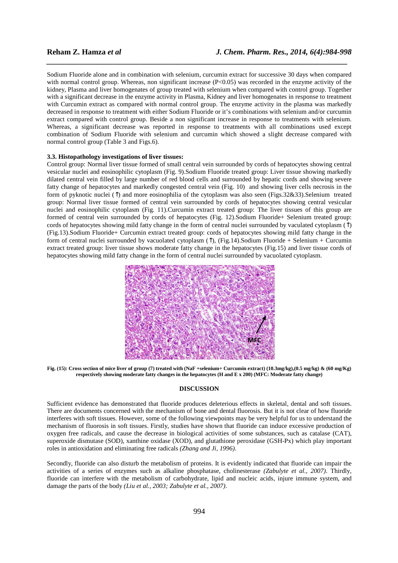Sodium Fluoride alone and in combination with selenium, curcumin extract for successive 30 days when compared with normal control group. Whereas, non significant increase  $(P<0.05)$  was recorded in the enzyme activity of the kidney, Plasma and liver homogenates of group treated with selenium when compared with control group. Together with a significant decrease in the enzyme activity in Plasma, Kidney and liver homogenates in response to treatment with Curcumin extract as compared with normal control group. The enzyme activity in the plasma was markedly decreased in response to treatment with either Sodium Fluoride or it's combinations with selenium and/or curcumin extract compared with control group. Beside a non significant increase in response to treatments with selenium. Whereas, a significant decrease was reported in response to treatments with all combinations used except combination of Sodium Fluoride with selenium and curcumin which showed a slight decrease compared with normal control group (Table 3 and Figs.6).

*\_\_\_\_\_\_\_\_\_\_\_\_\_\_\_\_\_\_\_\_\_\_\_\_\_\_\_\_\_\_\_\_\_\_\_\_\_\_\_\_\_\_\_\_\_\_\_\_\_\_\_\_\_\_\_\_\_\_\_\_\_\_\_\_\_\_\_\_\_\_\_\_\_\_\_\_\_*

# **3.3. Histopathology investigations of liver tissues:**

Control group: Normal liver tissue formed of small central vein surrounded by cords of hepatocytes showing central vesicular nuclei and eosinophilic cytoplasm (Fig. 9).Sodium Fluoride treated group: Liver tissue showing markedly dilated central vein filled by large number of red blood cells and surrounded by hepatic cords and showing severe fatty change of hepatocytes and markedly congested central vein (Fig. 10) and showing liver cells necrosis in the form of pyknotic nuclei (↑) and more eosinophilia of the cytoplasm was also seen (Figs.32&33).Selenium treated group: Normal liver tissue formed of central vein surrounded by cords of hepatocytes showing central vesicular nuclei and eosinophilic cytoplasm (Fig. 11).Curcumin extract treated group: The liver tissues of this group are formed of central vein surrounded by cords of hepatocytes (Fig. 12).Sodium Fluoride+ Selenium treated group: cords of hepatocytes showing mild fatty change in the form of central nuclei surrounded by vaculated cytoplasm  $(\uparrow)$ (Fig.13).Sodium Fluoride+ Curcumin extract treated group: cords of hepatocytes showing mild fatty change in the form of central nuclei surrounded by vacuolated cytoplasm (↑), (Fig.14).Sodium Fluoride + Selenium + Curcumin extract treated group: liver tissue shows moderate fatty change in the hepatocytes (Fig.15) and liver tissue cords of hepatocytes showing mild fatty change in the form of central nuclei surrounded by vacuolated cytoplasm.



**Fig. (15): Cross section of mice liver of group (7) treated with (NaF +selenium+ Curcumin extract) (10.3mg/kg),(0.5 mg/kg) & (60 mg/Kg) respectively showing moderate fatty changes in the hepatocytes (H and E x 200) (MFC: Moderate fatty change)** 

### **DISCUSSION**

Sufficient evidence has demonstrated that fluoride produces deleterious effects in skeletal, dental and soft tissues. There are documents concerned with the mechanism of bone and dental fluorosis. But it is not clear of how fluoride interferes with soft tissues. However, some of the following viewpoints may be very helpful for us to understand the mechanism of fluorosis in soft tissues. Firstly, studies have shown that fluoride can induce excessive production of oxygen free radicals, and cause the decrease in biological activities of some substances, such as catalase (CAT), superoxide dismutase (SOD), xanthine oxidase (XOD), and glutathione peroxidase (GSH-Px) which play important roles in antioxidation and eliminating free radicals *(Zhang and Ji, 1996)*.

Secondly, fluoride can also disturb the metabolism of proteins. It is evidently indicated that fluoride can impair the activities of a series of enzymes such as alkaline phosphatase, cholinesterase *(Zabulyte et al., 2007)*. Thirdly, fluoride can interfere with the metabolism of carbohydrate, lipid and nucleic acids, injure immune system, and damage the parts of the body *(Liu et al., 2003; Zabulyte et al., 2007)*.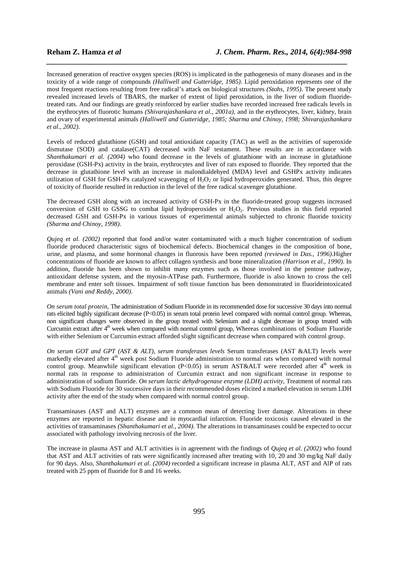Increased generation of reactive oxygen species (ROS) is implicated in the pathogenesis of many diseases and in the toxicity of a wide range of compounds *(Halliwell and Gutteridge, 1985)*. Lipid peroxidation represents one of the most frequent reactions resulting from free radical's attack on biological structures *(Stohs, 1995)*. The present study revealed increased levels of TBARS, the marker of extent of lipid peroxidation, in the liver of sodium fluoridetreated rats. And our findings are greatly reinforced by earlier studies have recorded increased free radicals levels in the erythrocytes of fluorotic humans *(Shivarajashankara et al., 2001a)*, and in the erythrocytes, liver, kidney, brain and ovary of experimental animals *(Halliwell and Gutteridge, 1985; Sharma and Chinoy, 1998; Shivarajashankara et al., 2002)*.

*\_\_\_\_\_\_\_\_\_\_\_\_\_\_\_\_\_\_\_\_\_\_\_\_\_\_\_\_\_\_\_\_\_\_\_\_\_\_\_\_\_\_\_\_\_\_\_\_\_\_\_\_\_\_\_\_\_\_\_\_\_\_\_\_\_\_\_\_\_\_\_\_\_\_\_\_\_*

Levels of reduced glutathione (GSH) and total antioxidant capacity (TAC) as well as the activities of superoxide dismutase (SOD) and catalase(CAT) decreased with NaF testament. These results are in accordance with *Shanthakumari et al. (2004)* who found decrease in the levels of glutathione with an increase in glutathione peroxidase (GSH-Px) activity in the brain, erythrocytes and liver of rats exposed to fluoride. They reported that the decrease in glutathione level with an increase in malondialdehyed (MDA) level and GSHPx activity indicates utilization of GSH for GSH-Px catalyzed scavenging of  $H_2O_2$  or lipid hydroperoxides generated. Thus, this degree of toxicity of fluoride resulted in reduction in the level of the free radical scavenger glutathione.

The decreased GSH along with an increased activity of GSH-Px in the fluoride-treated group suggests increased conversion of GSH to GSSG to combat lipid hydroperoxides or H<sub>2</sub>O<sub>2</sub>. Previous studies in this field reported decreased GSH and GSH-Px in various tissues of experimental animals subjected to chronic fluoride toxicity *(Sharma and Chinoy, 1998)*.

*Qujeq et al. (2002)* reported that food and/or water contaminated with a much higher concentration of sodium fluoride produced characteristic signs of biochemical defects. Biochemical changes in the composition of bone, urine, and plasma, and some hormonal changes in fluorosis have been reported *(reviewed in Das., 1996)*.Higher concentrations of fluoride are known to affect collagen synthesis and bone mineralization *(Harrison et al., 1990)*. In addition, fluoride has been shown to inhibit many enzymes such as those involved in the pentose pathway, antioxidant defense system, and the myosin-ATPase path. Furthermore, fluoride is also known to cross the cell membrane and enter soft tissues. Impairment of soft tissue function has been demonstrated in fluorideintoxicated animals *(Vani and Reddy, 2000)*.

*On serum total protein*, The administration of Sodium Fluoride in its recommended dose for successive 30 days into normal rats elicited highly significant decrease (P<0.05) in serum total protein level compared with normal control group. Whereas, non significant changes were observed in the group treated with Selenium and a slight decrease in group treated with Curcumin extract after 4<sup>th</sup> week when compared with normal control group, Whereas combinations of Sodium Fluoride with either Selenium or Curcumin extract afforded slight significant decrease when compared with control group.

*On serum GOT and GPT (AST & ALT), serum transferases levels* Serum transferases (AST &ALT) levels were markedly elevated after 4<sup>th</sup> week post Sodium Fluoride administration to normal rats when compared with normal control group. Meanwhile significant elevation (P<0.05) in serum AST&ALT were recorded after  $4<sup>th</sup>$  week in normal rats in response to administration of Curcumin extract and non significant increase in response to administration of sodium fluoride. *On serum lactic dehydrogenase enzyme (LDH) activity*, Treatment of normal rats with Sodium Fluoride for 30 successive days in their recommended doses elicited a marked elevation in serum LDH activity after the end of the study when compared with normal control group.

Transaminases (AST and ALT) enzymes are a common mean of detecting liver damage. Alterations in these enzymes are reported in hepatic disease and in myocardial infarction. Fluoride toxicosis caused elevated in the activities of transaminases *(Shanthakumari et al., 2004)*. The alterations in transaminases could be expected to occur associated with pathology involving necrosis of the liver.

The increase in plasma AST and ALT activities is in agreement with the findings of *Qujeq et al. (2002)* who found that AST and ALT activities of rats were significantly increased after treating with 10, 20 and 30 mg/kg NaF daily for 90 days. Also, *Shanthakumari et al. (2004)* recorded a significant increase in plasma ALT, AST and AlP of rats treated with 25 ppm of fluoride for 8 and 16 weeks.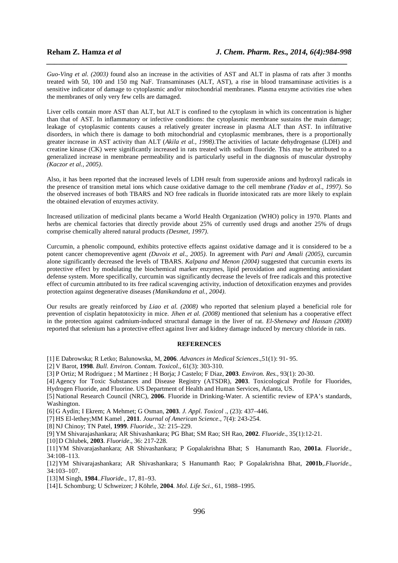*Guo-Ving et al. (2003)* found also an increase in the activities of AST and ALT in plasma of rats after 3 months treated with 50, 100 and 150 mg NaF. Transaminases (ALT, AST), a rise in blood transaminase activities is a sensitive indicator of damage to cytoplasmic and/or mitochondrial membranes. Plasma enzyme activities rise when the membranes of only very few cells are damaged.

*\_\_\_\_\_\_\_\_\_\_\_\_\_\_\_\_\_\_\_\_\_\_\_\_\_\_\_\_\_\_\_\_\_\_\_\_\_\_\_\_\_\_\_\_\_\_\_\_\_\_\_\_\_\_\_\_\_\_\_\_\_\_\_\_\_\_\_\_\_\_\_\_\_\_\_\_\_*

Liver cells contain more AST than ALT, but ALT is confined to the cytoplasm in which its concentration is higher than that of AST. In inflammatory or infective conditions: the cytoplasmic membrane sustains the main damage; leakage of cytoplasmic contents causes a relatively greater increase in plasma ALT than AST. In infiltrative disorders, in which there is damage to both mitochondrial and cytoplasmic membranes, there is a proportionally greater increase in AST activity than ALT (*Akila et al., 1998)*.The activities of lactate dehydrogenase (LDH) and creatine kinase (CK) were significantly increased in rats treated with sodium fluoride. This may be attributed to a generalized increase in membrane permeability and is particularly useful in the diagnosis of muscular dystrophy *(Kaczor et al., 2005)*.

Also, it has been reported that the increased levels of LDH result from superoxide anions and hydroxyl radicals in the presence of transition metal ions which cause oxidative damage to the cell membrane *(Yadav et al., 1997)*. So the observed increases of both TBARS and NO free radicals in fluoride intoxicated rats are more likely to explain the obtained elevation of enzymes activity.

Increased utilization of medicinal plants became a World Health Organization (WHO) policy in 1970. Plants and herbs are chemical factories that directly provide about 25% of currently used drugs and another 25% of drugs comprise chemically altered natural products *(Desmet, 1997)*.

Curcumin, a phenolic compound, exhibits protective effects against oxidative damage and it is considered to be a potent cancer chemopreventive agent *(Duvoix et al., 2005)*. In agreement with *Pari and Amali (2005)*, curcumin alone significantly decreased the levels of TBARS. *Kalpana and Menon (2004)* suggested that curcumin exerts its protective effect by modulating the biochemical marker enzymes, lipid peroxidation and augmenting antioxidant defense system. More specifically, curcumin was significantly decrease the levels of free radicals and this protective effect of curcumin attributed to its free radical scavenging activity, induction of detoxification enzymes and provides protection against degenerative diseases *(Manikandana et al., 2004)*.

Our results are greatly reinforced by *Liao et al. (2008)* who reported that selenium played a beneficial role for prevention of cisplatin hepatotoxicity in mice. *Jihen et al. (2008)* mentioned that selenium has a cooperative effect in the protection against cadmium-induced structural damage in the liver of rat. *El-Shenawy and Hassan (2008)* reported that selenium has a protective effect against liver and kidney damage induced by mercury chloride in rats.

# **REFERENCES**

[1] E Dabrowska; R Letko; Balunowska, M, **2006**. *Advances in Medical Sciences*.,51(1): 91- 95.

[2] V Barot, **1998**. *Bull. Environ. Contam. Toxicol*., 61(3): 303-310.

[3] P Ortiz; M Rodriguez ; M Martinez ; H Borja; J Castelo; F Diaz, **2003**. *Environ. Res.,* 93(1): 20-30.

[4] Agency for Toxic Substances and Disease Registry (ATSDR), **2003**. Toxicological Profile for Fluorides, Hydrogen Fluoride, and Fluorine. US Department of Health and Human Services, Atlanta, US.

[5] National Research Council (NRC), **2006**. Fluoride in Drinking-Water. A scientific review of EPA's standards, Washington.

[6] G Aydin; I Ekrem; A Mehmet; G Osman, **2003***. J. Appl. Toxicol* ., (23): 437–446.

[7] HS El-lethey;MM Kamel , **2011**. *Journal of American Science*., 7(4): 243-254.

[8] NJ Chinoy; TN Patel, **1999**. *Fluoride*., 32: 215–229.

[9] YM Shivarajashankara; AR Shivashankara; PG Bhat; SM Rao; SH Rao, **2002**. *Fluoride*., 35(1):12-21.

[10]D Chlubek, **2003**. *Fluoride*., 36: 217-228.

[11]YM Shivarajashankara; AR Shivashankara; P Gopalakrishna Bhat; S Hanumanth Rao, **2001a**. *Fluoride*., 34:108–113.

[12]YM Shivarajashankara; AR Shivashankara; S Hanumanth Rao; P Gopalakrishna Bhat, **2001b**,.*Fluoride*., 34:103–107.

[13]M Singh, **1984**..*Fluoride*., 17, 81–93.

[14]L Schomburg; U Schweizer; J Köhrle, **2004**. *Mol. Life Sci*., 61, 1988–1995.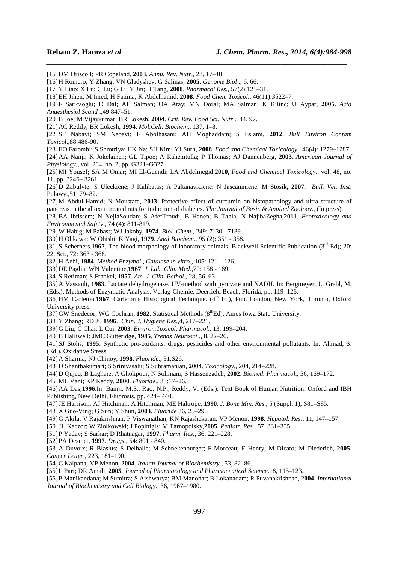[15]DM Driscoll; PR Copeland, **2003**, *Annu. Rev. Nutr*., 23, 17–40.

[16]H Romero; Y Zhang; VN Gladyshev; G Salinas, **2005**. *Genome Biol* ., 6, 66.

[17]Y Liao; X Lu; C Lu; G Li; Y Jin; H Tang, **2008**. *Pharmacol Res*., 57(2):125–31.

[18]EH Jihen; M Imed; H Fatima; K Abdelhamid, **2008**. *Food Chem Toxicol*., 46(11):3522–7.

[19]F Saricaoglu; D Dal; AE Salman; OA Atay; MN Doral; MA Salman; K Kilinc; U Aypar, **2005**. *Acta Anaesthesiol Scand* .,49:847–51.

*\_\_\_\_\_\_\_\_\_\_\_\_\_\_\_\_\_\_\_\_\_\_\_\_\_\_\_\_\_\_\_\_\_\_\_\_\_\_\_\_\_\_\_\_\_\_\_\_\_\_\_\_\_\_\_\_\_\_\_\_\_\_\_\_\_\_\_\_\_\_\_\_\_\_\_\_\_*

[20]B Joe; M Vijaykumar; BR Lokesh, **2004**. *Crit. Rev. Food Sci. Nutr* ., 44, 97.

[21]AC Reddy; BR Lokesh, **1994**. *Mol.Cell. Biochem*., 137, 1–8.

[22]SF Nabavi; SM Nabavi; F Abolhasani; AH Moghaddam; S Eslami, **2012**. *Bull Environ Contam Toxicol*.,88:486-90.

[23]EO Farombi; S Shrotriya; HK Na; SH Kim; YJ Surh, **2008**. *Food and Chemical Toxicology*., 46(4): 1279–1287.

[24]AA Nanji; K Jokelainen; GL Tipoe; A Rahemtulla; P Thomas; AJ Dannenberg, **2003**. *American Journal of Physiology.,* vol. 284, no. 2, pp. G321–G327.

[25]MI Yousef; SA M Omar; MI El-Guendi; LA Abdelmegid,**2010,** *Food and Chemical Toxicology*., vol. 48, no. 11, pp. 3246– 3261.

[26]D Zabulyte; S Uleckiene; J Kalibatas; A Paltanaviciene; N Jascaniniene; M Stosik, **2007**. *Bull. Vet. Inst*. Pulawy.,51, 79–82.

[27]M Abdul-Hamid; N Moustafa, **2013**. Protective effect of curcumin on histopathology and ultra structure of pancreas in the alloxan treated rats for induction of diabetes. *The Journal of Basic & Applied Zoology*., (In press).

[28]BA Ibtissem; N NejlaSoudan; S AfefTroudi; B Hanen; B Tahia; N NajibaZegha,**2011**. *Ecotoxicology and Environmental Safety*., 74 (4): 811-819.

[29]W Habig; M Pabast; WJ Jakoby, **1974**. *Biol. Chem*., 249: 7130 - 7139.

[30]H Ohkawa; W Ohishi; K Yagi, **1979**. *Anal Biochem*., 95 (2): 351 - 358.

[31]S Scherners.1967, The blood morphology of laboratory animals. Blackwell Scientific Publication (3<sup>rd</sup> Ed); 20: 22. Sci., 72: 363 - 368.

[32]H Aebi, **1984**, *Method Enzymol., Catalase in vitro*., 105: 121 – 126.

[33]DE Paglia; WN Valentine,**1967**. *J. Lab. Clin. Med*.,70: 158 - 169.

[34]S Retiman; S Frankel, **1957**. *Am. J. Clin. Pathol*., 28, 56–63.

[35]A Vassault, **1983**. Lactate dehydrogenase. UV-method with pyruvate and NADH. In: Bergmeyer, J., Grabl, M. (Eds.), Methods of Enzymatic Analysis. Verlag-Chemie, Deerfield Beach, Florida, pp. 119–126.

[36]HM Carleton, 1967. Carleton's Histological Technique. (4<sup>th</sup> Ed), Pub. London, New York, Toronto, Oxford University press.

[37] GW Snedecor: WG Cochran, **1982**. Statistical Methods (8<sup>th</sup>Ed), Ames Iowa State University.

[38]Y Zhang; RD Ji, **1996**. *Chin. J. Hygiene Res*.,4, 217–221.

[39]G Liu; C Chai; L Cui, **2003**. *Environ.Toxicol. Pharmacol*., 13, 199–204.

[40]B Halliwell; JMC Gutteridge, **1985**. *Trends Neurosci* ., 8, 22–26.

[41]SJ Stohs, **1995**. Synthetic pro-oxidants: drugs, pesticides and other environmental pollutants. In: Ahmad, S. (Ed.), Oxidative Stress.

[42]A Sharma; NJ Chinoy, **1998**. *Fluoride*., 31,S26.

[43]D Shanthakumari; S Srinivasalu; S Subramanian, **2004**. *Toxicology*., 204, 214–228.

[44]D Qujeq; B Laghaie; A Gholipour; N Solimani; S Hassenzadeh, **2002**. *Biomed. Pharmacol*., 56, 169–172.

[45]ML Vani; KP Reddy, **2000**. *Fluoride*., 33:17–26.

[46]AA Das,**1996**.In: Bamji, M.S., Rao, N.P., Reddy, V. (Eds.), Text Book of Human Nutrition. Oxford and IBH Publishing, New Delhi, Fluorosis, pp. 424– 440.

[47]JE Harrison; AJ Hitchman; A Hitchman; ME Haltrope, **1990**. *J. Bone Min. Res*., 5 (Suppl. 1), S81–S85.

[48]X Guo-Ving; G Sun; Y Shun, **2003**. *Fluoride* 36, 25–29.

[49]G Akila; V Rajakrishnan; P Viswanathan; KN Rajashekaran; VP Menon, **1998**. *Hepatol. Res*., 11, 147–157.

[50]JJ Kaczor; W Ziolkowski; J Popinigis; M Tarnopolsky,**2005**. *Pediatr. Res*., 57, 331–335.

[51]P Yadav; S Sarkar; D Rhatnagar, **1997**. *Pharm. Res*., 36, 221–228.

[52]PA Desmet, **1997**. *Drugs*., 54: 801 - 840.

[53]A Duvoix; R Blasius; S Delhalle; M Schnekenburger; F Morceau; E Henry; M Dicato; M Diederich, **2005**. *Cancer Letter*., 223, 181–190.

[54]C Kalpana; VP Menon, **2004**. *Italian Journal of Biochemistry*., 53, 82–86.

[55]L Pari; DR Amali, **2005**. *Journal of Pharmacology and Pharmaceutical Science*., 8, 115–123.

[56]P Manikandana; M Sumitra; S Aishwarya; BM Manohar; B Lokanadam; R Puvanakrishnan, **2004**. *International Journal of Biochemistry and Cell Biology.,* 36, 1967–1980.